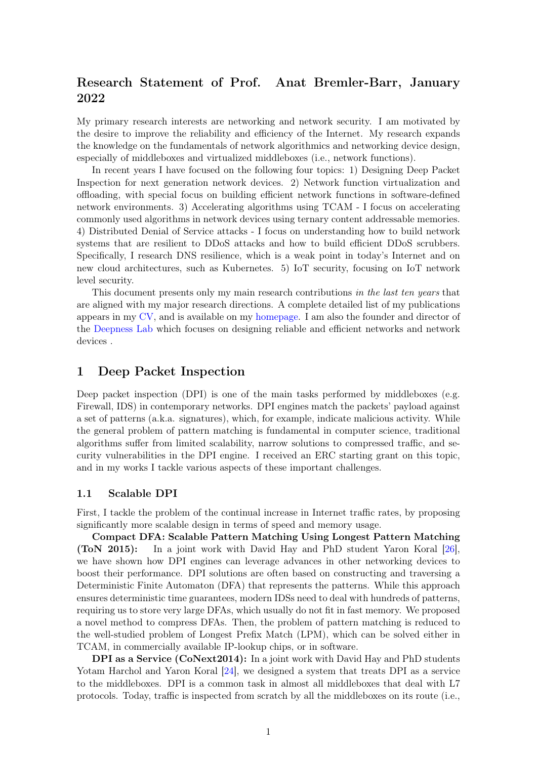# Research Statement of Prof. Anat Bremler-Barr, January 2022

My primary research interests are networking and network security. I am motivated by the desire to improve the reliability and efficiency of the Internet. My research expands the knowledge on the fundamentals of network algorithmics and networking device design, especially of middleboxes and virtualized middleboxes (i.e., network functions).

In recent years I have focused on the following four topics: 1) Designing Deep Packet Inspection for next generation network devices. 2) Network function virtualization and offloading, with special focus on building efficient network functions in software-defined network environments. 3) Accelerating algorithms using TCAM - I focus on accelerating commonly used algorithms in network devices using ternary content addressable memories. 4) Distributed Denial of Service attacks - I focus on understanding how to build network systems that are resilient to DDoS attacks and how to build efficient DDoS scrubbers. Specifically, I research DNS resilience, which is a weak point in today's Internet and on new cloud architectures, such as Kubernetes. 5) IoT security, focusing on IoT network level security.

This document presents only my main research contributions in the last ten years that are aligned with my major research directions. A complete detailed list of my publications appears in my [CV,](https://deepness-lab.org/wp-content/uploads/2022/02/CVBremlerBarr1.22.pdf) and is available on my [homepage.](https://faculty.idc.ac.il/bremler/publicationBremlerBarr.htm) I am also the founder and director of the [Deepness Lab]( https://deepness-lab.org/) which focuses on designing reliable and efficient networks and network devices .

# 1 Deep Packet Inspection

Deep packet inspection (DPI) is one of the main tasks performed by middleboxes (e.g. Firewall, IDS) in contemporary networks. DPI engines match the packets' payload against a set of patterns (a.k.a. signatures), which, for example, indicate malicious activity. While the general problem of pattern matching is fundamental in computer science, traditional algorithms suffer from limited scalability, narrow solutions to compressed traffic, and security vulnerabilities in the DPI engine. I received an ERC starting grant on this topic, and in my works I tackle various aspects of these important challenges.

#### 1.1 Scalable DPI

First, I tackle the problem of the continual increase in Internet traffic rates, by proposing significantly more scalable design in terms of speed and memory usage.

Compact DFA: Scalable Pattern Matching Using Longest Pattern Matching (ToN 2015): In a joint work with David Hay and PhD student Yaron Koral [\[26\]](#page-9-0), we have shown how DPI engines can leverage advances in other networking devices to boost their performance. DPI solutions are often based on constructing and traversing a Deterministic Finite Automaton (DFA) that represents the patterns. While this approach ensures deterministic time guarantees, modern IDSs need to deal with hundreds of patterns, requiring us to store very large DFAs, which usually do not fit in fast memory. We proposed a novel method to compress DFAs. Then, the problem of pattern matching is reduced to the well-studied problem of Longest Prefix Match (LPM), which can be solved either in TCAM, in commercially available IP-lookup chips, or in software.

DPI as a Service (CoNext2014): In a joint work with David Hay and PhD students Yotam Harchol and Yaron Koral [\[24\]](#page-9-1), we designed a system that treats DPI as a service to the middleboxes. DPI is a common task in almost all middleboxes that deal with L7 protocols. Today, traffic is inspected from scratch by all the middleboxes on its route (i.e.,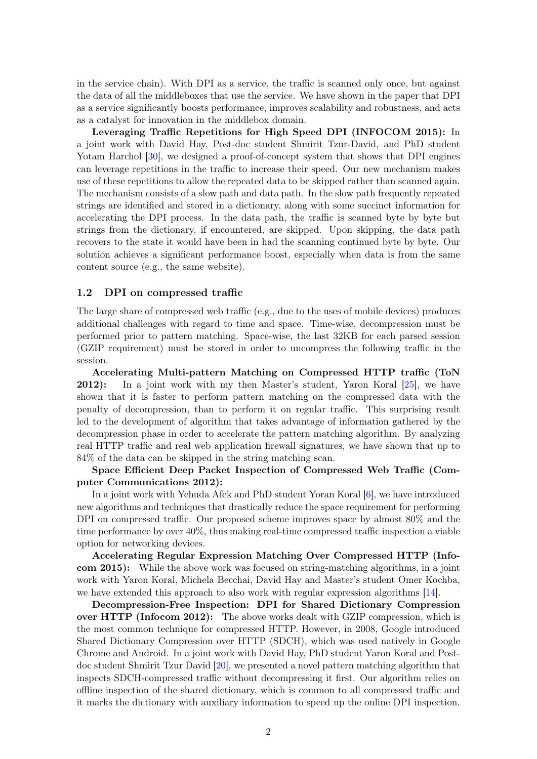in the service chain). With DPI as a service, the traffic is scanned only once, but against the data of all the middleboxes that use the service. We have shown in the paper that DPI as a service significantly boosts performance, improves scalability and robustness, and acts as a catalyst for innovation in the middlebox domain.

Leveraging Traffic Repetitions for High Speed DPI (INFOCOM 2015): In a joint work with David Hay, Post-doc student Shmirit Tzur-David, and PhD student Yotam Harchol [\[30\]](#page-9-2), we designed a proof-of-concept system that shows that DPI engines can leverage repetitions in the traffic to increase their speed. Our new mechanism makes use of these repetitions to allow the repeated data to be skipped rather than scanned again. The mechanism consists of a slow path and data path. In the slow path frequently repeated strings are identified and stored in a dictionary, along with some succinct information for accelerating the DPI process. In the data path, the traffic is scanned byte by byte but strings from the dictionary, if encountered, are skipped. Upon skipping, the data path recovers to the state it would have been in had the scanning continued byte by byte. Our solution achieves a significant performance boost, especially when data is from the same content source (e.g., the same website).

#### 1.2 DPI on compressed traffic

The large share of compressed web traffic (e.g., due to the uses of mobile devices) produces additional challenges with regard to time and space. Time-wise, decompression must be performed prior to pattern matching. Space-wise, the last 32KB for each parsed session (GZIP requirement) must be stored in order to uncompress the following traffic in the session.

Accelerating Multi-pattern Matching on Compressed HTTP traffic (ToN 2012): In a joint work with my then Master's student, Yaron Koral [\[25\]](#page-9-3), we have shown that it is faster to perform pattern matching on the compressed data with the penalty of decompression, than to perform it on regular traffic. This surprising result led to the development of algorithm that takes advantage of information gathered by the decompression phase in order to accelerate the pattern matching algorithm. By analyzing real HTTP traffic and real web application firewall signatures, we have shown that up to 84% of the data can be skipped in the string matching scan.

Space Efficient Deep Packet Inspection of Compressed Web Traffic (Computer Communications 2012):

In a joint work with Yehuda Afek and PhD student Yoran Koral [\[6\]](#page-8-0), we have introduced new algorithms and techniques that drastically reduce the space requirement for performing DPI on compressed traffic. Our proposed scheme improves space by almost 80% and the time performance by over 40%, thus making real-time compressed traffic inspection a viable option for networking devices.

Accelerating Regular Expression Matching Over Compressed HTTP (Infocom 2015): While the above work was focused on string-matching algorithms, in a joint work with Yaron Koral, Michela Becchai, David Hay and Master's student Omer Kochba, we have extended this approach to also work with regular expression algorithms [\[14\]](#page-8-1).

Decompression-Free Inspection: DPI for Shared Dictionary Compression over HTTP (Infocom 2012): The above works dealt with GZIP compression, which is the most common technique for compressed HTTP. However, in 2008, Google introduced Shared Dictionary Compression over HTTP (SDCH), which was used natively in Google Chrome and Android. In a joint work with David Hay, PhD student Yaron Koral and Postdoc student Shmirit Tzur David [\[20\]](#page-9-4), we presented a novel pattern matching algorithm that inspects SDCH-compressed traffic without decompressing it first. Our algorithm relies on offline inspection of the shared dictionary, which is common to all compressed traffic and it marks the dictionary with auxiliary information to speed up the online DPI inspection.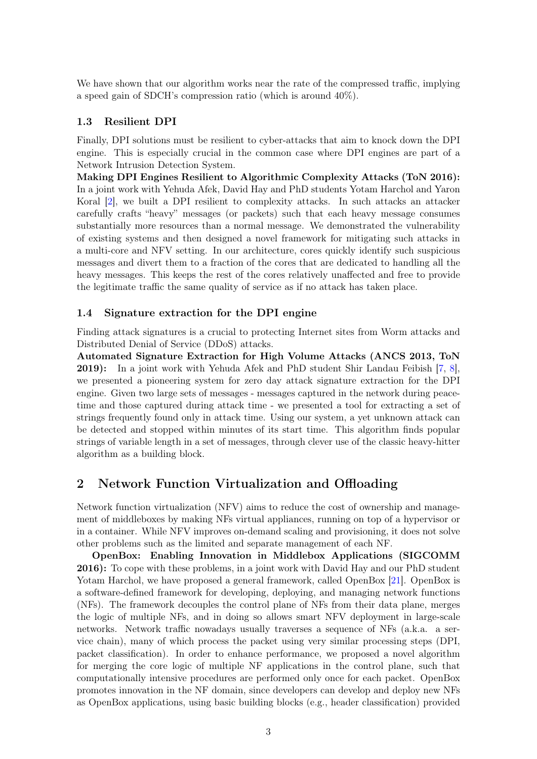We have shown that our algorithm works near the rate of the compressed traffic, implying a speed gain of SDCH's compression ratio (which is around 40%).

## 1.3 Resilient DPI

Finally, DPI solutions must be resilient to cyber-attacks that aim to knock down the DPI engine. This is especially crucial in the common case where DPI engines are part of a Network Intrusion Detection System.

Making DPI Engines Resilient to Algorithmic Complexity Attacks (ToN 2016): In a joint work with Yehuda Afek, David Hay and PhD students Yotam Harchol and Yaron Koral [\[2\]](#page-8-2), we built a DPI resilient to complexity attacks. In such attacks an attacker carefully crafts "heavy" messages (or packets) such that each heavy message consumes substantially more resources than a normal message. We demonstrated the vulnerability of existing systems and then designed a novel framework for mitigating such attacks in a multi-core and NFV setting. In our architecture, cores quickly identify such suspicious messages and divert them to a fraction of the cores that are dedicated to handling all the heavy messages. This keeps the rest of the cores relatively unaffected and free to provide the legitimate traffic the same quality of service as if no attack has taken place.

### 1.4 Signature extraction for the DPI engine

Finding attack signatures is a crucial to protecting Internet sites from Worm attacks and Distributed Denial of Service (DDoS) attacks.

Automated Signature Extraction for High Volume Attacks (ANCS 2013, ToN 2019): In a joint work with Yehuda Afek and PhD student Shir Landau Feibish [\[7,](#page-8-3) [8\]](#page-8-4), we presented a pioneering system for zero day attack signature extraction for the DPI engine. Given two large sets of messages - messages captured in the network during peacetime and those captured during attack time - we presented a tool for extracting a set of strings frequently found only in attack time. Using our system, a yet unknown attack can be detected and stopped within minutes of its start time. This algorithm finds popular strings of variable length in a set of messages, through clever use of the classic heavy-hitter algorithm as a building block.

# 2 Network Function Virtualization and Offloading

Network function virtualization (NFV) aims to reduce the cost of ownership and management of middleboxes by making NFs virtual appliances, running on top of a hypervisor or in a container. While NFV improves on-demand scaling and provisioning, it does not solve other problems such as the limited and separate management of each NF.

OpenBox: Enabling Innovation in Middlebox Applications (SIGCOMM 2016): To cope with these problems, in a joint work with David Hay and our PhD student Yotam Harchol, we have proposed a general framework, called OpenBox [\[21\]](#page-9-5). OpenBox is a software-defined framework for developing, deploying, and managing network functions (NFs). The framework decouples the control plane of NFs from their data plane, merges the logic of multiple NFs, and in doing so allows smart NFV deployment in large-scale networks. Network traffic nowadays usually traverses a sequence of NFs (a.k.a. a service chain), many of which process the packet using very similar processing steps (DPI, packet classification). In order to enhance performance, we proposed a novel algorithm for merging the core logic of multiple NF applications in the control plane, such that computationally intensive procedures are performed only once for each packet. OpenBox promotes innovation in the NF domain, since developers can develop and deploy new NFs as OpenBox applications, using basic building blocks (e.g., header classification) provided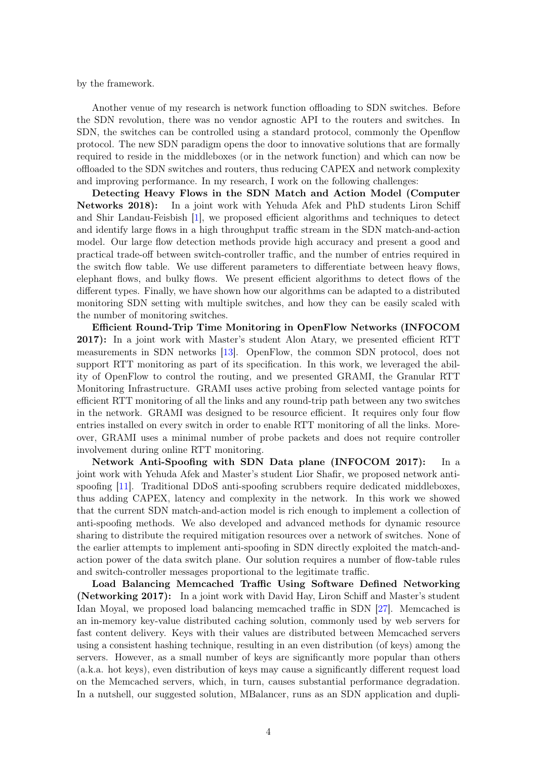by the framework.

Another venue of my research is network function offloading to SDN switches. Before the SDN revolution, there was no vendor agnostic API to the routers and switches. In SDN, the switches can be controlled using a standard protocol, commonly the Openflow protocol. The new SDN paradigm opens the door to innovative solutions that are formally required to reside in the middleboxes (or in the network function) and which can now be offloaded to the SDN switches and routers, thus reducing CAPEX and network complexity and improving performance. In my research, I work on the following challenges:

Detecting Heavy Flows in the SDN Match and Action Model (Computer Networks 2018): In a joint work with Yehuda Afek and PhD students Liron Schiff and Shir Landau-Feisbish [\[1\]](#page-7-0), we proposed efficient algorithms and techniques to detect and identify large flows in a high throughput traffic stream in the SDN match-and-action model. Our large flow detection methods provide high accuracy and present a good and practical trade-off between switch-controller traffic, and the number of entries required in the switch flow table. We use different parameters to differentiate between heavy flows, elephant flows, and bulky flows. We present efficient algorithms to detect flows of the different types. Finally, we have shown how our algorithms can be adapted to a distributed monitoring SDN setting with multiple switches, and how they can be easily scaled with the number of monitoring switches.

Efficient Round-Trip Time Monitoring in OpenFlow Networks (INFOCOM 2017): In a joint work with Master's student Alon Atary, we presented efficient RTT measurements in SDN networks [\[13\]](#page-8-5). OpenFlow, the common SDN protocol, does not support RTT monitoring as part of its specification. In this work, we leveraged the ability of OpenFlow to control the routing, and we presented GRAMI, the Granular RTT Monitoring Infrastructure. GRAMI uses active probing from selected vantage points for efficient RTT monitoring of all the links and any round-trip path between any two switches in the network. GRAMI was designed to be resource efficient. It requires only four flow entries installed on every switch in order to enable RTT monitoring of all the links. Moreover, GRAMI uses a minimal number of probe packets and does not require controller involvement during online RTT monitoring.

Network Anti-Spoofing with SDN Data plane (INFOCOM 2017): In a joint work with Yehuda Afek and Master's student Lior Shafir, we proposed network antispoofing [\[11\]](#page-8-6). Traditional DDoS anti-spoofing scrubbers require dedicated middleboxes, thus adding CAPEX, latency and complexity in the network. In this work we showed that the current SDN match-and-action model is rich enough to implement a collection of anti-spoofing methods. We also developed and advanced methods for dynamic resource sharing to distribute the required mitigation resources over a network of switches. None of the earlier attempts to implement anti-spoofing in SDN directly exploited the match-andaction power of the data switch plane. Our solution requires a number of flow-table rules and switch-controller messages proportional to the legitimate traffic.

Load Balancing Memcached Traffic Using Software Defined Networking (Networking 2017): In a joint work with David Hay, Liron Schiff and Master's student Idan Moyal, we proposed load balancing memcached traffic in SDN [\[27\]](#page-9-6). Memcached is an in-memory key-value distributed caching solution, commonly used by web servers for fast content delivery. Keys with their values are distributed between Memcached servers using a consistent hashing technique, resulting in an even distribution (of keys) among the servers. However, as a small number of keys are significantly more popular than others (a.k.a. hot keys), even distribution of keys may cause a significantly different request load on the Memcached servers, which, in turn, causes substantial performance degradation. In a nutshell, our suggested solution, MBalancer, runs as an SDN application and dupli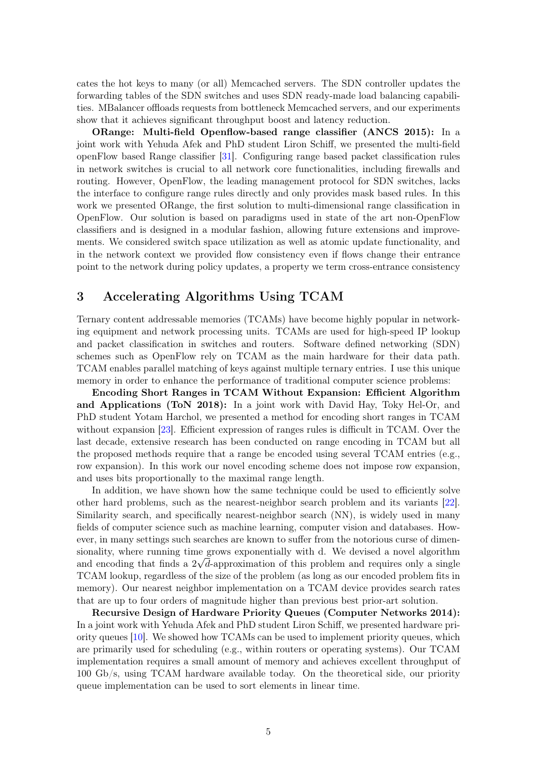cates the hot keys to many (or all) Memcached servers. The SDN controller updates the forwarding tables of the SDN switches and uses SDN ready-made load balancing capabilities. MBalancer offloads requests from bottleneck Memcached servers, and our experiments show that it achieves significant throughput boost and latency reduction.

ORange: Multi-field Openflow-based range classifier (ANCS 2015): In a joint work with Yehuda Afek and PhD student Liron Schiff, we presented the multi-field openFlow based Range classifier [\[31\]](#page-9-7). Configuring range based packet classification rules in network switches is crucial to all network core functionalities, including firewalls and routing. However, OpenFlow, the leading management protocol for SDN switches, lacks the interface to configure range rules directly and only provides mask based rules. In this work we presented ORange, the first solution to multi-dimensional range classification in OpenFlow. Our solution is based on paradigms used in state of the art non-OpenFlow classifiers and is designed in a modular fashion, allowing future extensions and improvements. We considered switch space utilization as well as atomic update functionality, and in the network context we provided flow consistency even if flows change their entrance point to the network during policy updates, a property we term cross-entrance consistency

# 3 Accelerating Algorithms Using TCAM

Ternary content addressable memories (TCAMs) have become highly popular in networking equipment and network processing units. TCAMs are used for high-speed IP lookup and packet classification in switches and routers. Software defined networking (SDN) schemes such as OpenFlow rely on TCAM as the main hardware for their data path. TCAM enables parallel matching of keys against multiple ternary entries. I use this unique memory in order to enhance the performance of traditional computer science problems:

Encoding Short Ranges in TCAM Without Expansion: Efficient Algorithm and Applications (ToN 2018): In a joint work with David Hay, Toky Hel-Or, and PhD student Yotam Harchol, we presented a method for encoding short ranges in TCAM without expansion [\[23\]](#page-9-8). Efficient expression of ranges rules is difficult in TCAM. Over the last decade, extensive research has been conducted on range encoding in TCAM but all the proposed methods require that a range be encoded using several TCAM entries (e.g., row expansion). In this work our novel encoding scheme does not impose row expansion, and uses bits proportionally to the maximal range length.

In addition, we have shown how the same technique could be used to efficiently solve other hard problems, such as the nearest-neighbor search problem and its variants [\[22\]](#page-9-9). Similarity search, and specifically nearest-neighbor search (NN), is widely used in many fields of computer science such as machine learning, computer vision and databases. However, in many settings such searches are known to suffer from the notorious curse of dimensionality, where running time grows exponentially with d. We devised a novel algorithm and encoding that finds a  $2\n\sqrt{d}$ -approximation of this problem and requires only a single TCAM lookup, regardless of the size of the problem (as long as our encoded problem fits in memory). Our nearest neighbor implementation on a TCAM device provides search rates that are up to four orders of magnitude higher than previous best prior-art solution.

Recursive Design of Hardware Priority Queues (Computer Networks 2014): In a joint work with Yehuda Afek and PhD student Liron Schiff, we presented hardware priority queues [\[10\]](#page-8-7). We showed how TCAMs can be used to implement priority queues, which are primarily used for scheduling (e.g., within routers or operating systems). Our TCAM implementation requires a small amount of memory and achieves excellent throughput of 100 Gb/s, using TCAM hardware available today. On the theoretical side, our priority queue implementation can be used to sort elements in linear time.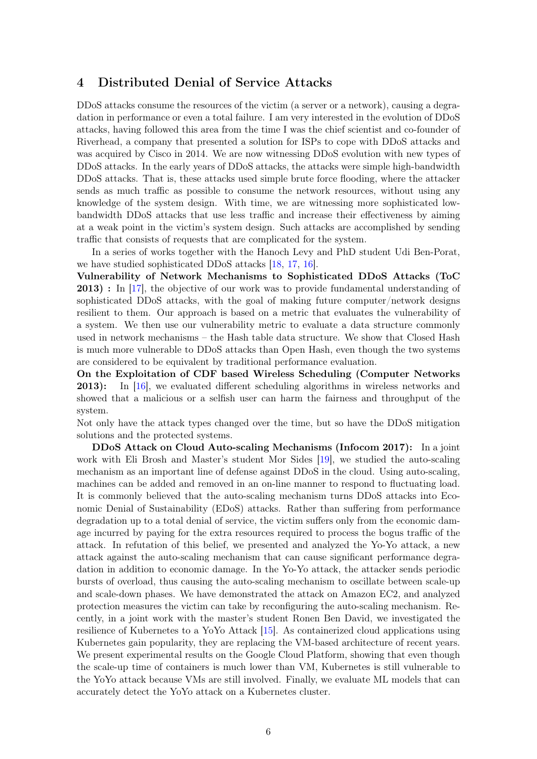## 4 Distributed Denial of Service Attacks

DDoS attacks consume the resources of the victim (a server or a network), causing a degradation in performance or even a total failure. I am very interested in the evolution of DDoS attacks, having followed this area from the time I was the chief scientist and co-founder of Riverhead, a company that presented a solution for ISPs to cope with DDoS attacks and was acquired by Cisco in 2014. We are now witnessing DDoS evolution with new types of DDoS attacks. In the early years of DDoS attacks, the attacks were simple high-bandwidth DDoS attacks. That is, these attacks used simple brute force flooding, where the attacker sends as much traffic as possible to consume the network resources, without using any knowledge of the system design. With time, we are witnessing more sophisticated lowbandwidth DDoS attacks that use less traffic and increase their effectiveness by aiming at a weak point in the victim's system design. Such attacks are accomplished by sending traffic that consists of requests that are complicated for the system.

In a series of works together with the Hanoch Levy and PhD student Udi Ben-Porat, we have studied sophisticated DDoS attacks [\[18,](#page-9-10) [17,](#page-8-8) [16\]](#page-8-9).

Vulnerability of Network Mechanisms to Sophisticated DDoS Attacks (ToC 2013) : In [\[17\]](#page-8-8), the objective of our work was to provide fundamental understanding of sophisticated DDoS attacks, with the goal of making future computer/network designs resilient to them. Our approach is based on a metric that evaluates the vulnerability of a system. We then use our vulnerability metric to evaluate a data structure commonly used in network mechanisms – the Hash table data structure. We show that Closed Hash is much more vulnerable to DDoS attacks than Open Hash, even though the two systems are considered to be equivalent by traditional performance evaluation.

On the Exploitation of CDF based Wireless Scheduling (Computer Networks 2013): In [\[16\]](#page-8-9), we evaluated different scheduling algorithms in wireless networks and showed that a malicious or a selfish user can harm the fairness and throughput of the system.

Not only have the attack types changed over the time, but so have the DDoS mitigation solutions and the protected systems.

DDoS Attack on Cloud Auto-scaling Mechanisms (Infocom 2017): In a joint work with Eli Brosh and Master's student Mor Sides [\[19\]](#page-9-11), we studied the auto-scaling mechanism as an important line of defense against DDoS in the cloud. Using auto-scaling, machines can be added and removed in an on-line manner to respond to fluctuating load. It is commonly believed that the auto-scaling mechanism turns DDoS attacks into Economic Denial of Sustainability (EDoS) attacks. Rather than suffering from performance degradation up to a total denial of service, the victim suffers only from the economic damage incurred by paying for the extra resources required to process the bogus traffic of the attack. In refutation of this belief, we presented and analyzed the Yo-Yo attack, a new attack against the auto-scaling mechanism that can cause significant performance degradation in addition to economic damage. In the Yo-Yo attack, the attacker sends periodic bursts of overload, thus causing the auto-scaling mechanism to oscillate between scale-up and scale-down phases. We have demonstrated the attack on Amazon EC2, and analyzed protection measures the victim can take by reconfiguring the auto-scaling mechanism. Recently, in a joint work with the master's student Ronen Ben David, we investigated the resilience of Kubernetes to a YoYo Attack [\[15\]](#page-8-10). As containerized cloud applications using Kubernetes gain popularity, they are replacing the VM-based architecture of recent years. We present experimental results on the Google Cloud Platform, showing that even though the scale-up time of containers is much lower than VM, Kubernetes is still vulnerable to the YoYo attack because VMs are still involved. Finally, we evaluate ML models that can accurately detect the YoYo attack on a Kubernetes cluster.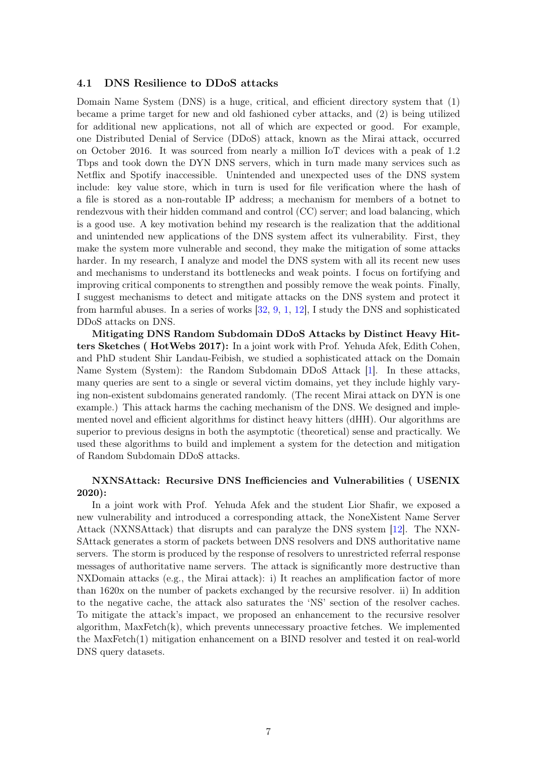#### 4.1 DNS Resilience to DDoS attacks

Domain Name System (DNS) is a huge, critical, and efficient directory system that (1) became a prime target for new and old fashioned cyber attacks, and (2) is being utilized for additional new applications, not all of which are expected or good. For example, one Distributed Denial of Service (DDoS) attack, known as the Mirai attack, occurred on October 2016. It was sourced from nearly a million IoT devices with a peak of 1.2 Tbps and took down the DYN DNS servers, which in turn made many services such as Netflix and Spotify inaccessible. Unintended and unexpected uses of the DNS system include: key value store, which in turn is used for file verification where the hash of a file is stored as a non-routable IP address; a mechanism for members of a botnet to rendezvous with their hidden command and control (CC) server; and load balancing, which is a good use. A key motivation behind my research is the realization that the additional and unintended new applications of the DNS system affect its vulnerability. First, they make the system more vulnerable and second, they make the mitigation of some attacks harder. In my research, I analyze and model the DNS system with all its recent new uses and mechanisms to understand its bottlenecks and weak points. I focus on fortifying and improving critical components to strengthen and possibly remove the weak points. Finally, I suggest mechanisms to detect and mitigate attacks on the DNS system and protect it from harmful abuses. In a series of works [\[32,](#page-10-0) [9,](#page-8-11) [1,](#page-7-0) [12\]](#page-8-12), I study the DNS and sophisticated DDoS attacks on DNS.

Mitigating DNS Random Subdomain DDoS Attacks by Distinct Heavy Hitters Sketches ( HotWebs 2017): In a joint work with Prof. Yehuda Afek, Edith Cohen, and PhD student Shir Landau-Feibish, we studied a sophisticated attack on the Domain Name System (System): the Random Subdomain DDoS Attack [\[1\]](#page-7-0). In these attacks, many queries are sent to a single or several victim domains, yet they include highly varying non-existent subdomains generated randomly. (The recent Mirai attack on DYN is one example.) This attack harms the caching mechanism of the DNS. We designed and implemented novel and efficient algorithms for distinct heavy hitters (dHH). Our algorithms are superior to previous designs in both the asymptotic (theoretical) sense and practically. We used these algorithms to build and implement a system for the detection and mitigation of Random Subdomain DDoS attacks.

### NXNSAttack: Recursive DNS Inefficiencies and Vulnerabilities ( USENIX 2020):

In a joint work with Prof. Yehuda Afek and the student Lior Shafir, we exposed a new vulnerability and introduced a corresponding attack, the NoneXistent Name Server Attack (NXNSAttack) that disrupts and can paralyze the DNS system [\[12\]](#page-8-12). The NXN-SAttack generates a storm of packets between DNS resolvers and DNS authoritative name servers. The storm is produced by the response of resolvers to unrestricted referral response messages of authoritative name servers. The attack is significantly more destructive than NXDomain attacks (e.g., the Mirai attack): i) It reaches an amplification factor of more than 1620x on the number of packets exchanged by the recursive resolver. ii) In addition to the negative cache, the attack also saturates the 'NS' section of the resolver caches. To mitigate the attack's impact, we proposed an enhancement to the recursive resolver algorithm,  $MaxFetch(k)$ , which prevents unnecessary proactive fetches. We implemented the MaxFetch(1) mitigation enhancement on a BIND resolver and tested it on real-world DNS query datasets.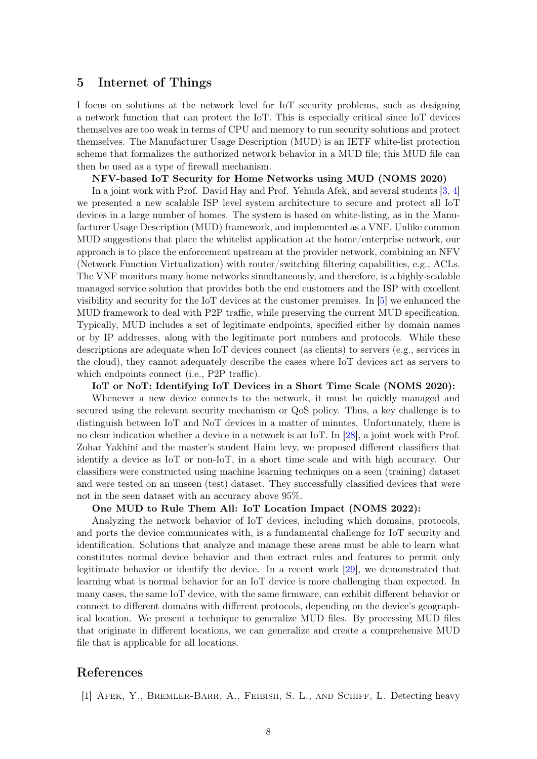### 5 Internet of Things

I focus on solutions at the network level for IoT security problems, such as designing a network function that can protect the IoT. This is especially critical since IoT devices themselves are too weak in terms of CPU and memory to run security solutions and protect themselves. The Manufacturer Usage Description (MUD) is an IETF white-list protection scheme that formalizes the authorized network behavior in a MUD file; this MUD file can then be used as a type of firewall mechanism.

#### NFV-based IoT Security for Home Networks using MUD (NOMS 2020)

In a joint work with Prof. David Hay and Prof. Yehuda Afek, and several students [\[3,](#page-8-13) [4\]](#page-8-14) we presented a new scalable ISP level system architecture to secure and protect all IoT devices in a large number of homes. The system is based on white-listing, as in the Manufacturer Usage Description (MUD) framework, and implemented as a VNF. Unlike common MUD suggestions that place the whitelist application at the home/enterprise network, our approach is to place the enforcement upstream at the provider network, combining an NFV (Network Function Virtualization) with router/switching filtering capabilities, e.g., ACLs. The VNF monitors many home networks simultaneously, and therefore, is a highly-scalable managed service solution that provides both the end customers and the ISP with excellent visibility and security for the IoT devices at the customer premises. In [\[5\]](#page-8-15) we enhanced the MUD framework to deal with P2P traffic, while preserving the current MUD specification. Typically, MUD includes a set of legitimate endpoints, specified either by domain names or by IP addresses, along with the legitimate port numbers and protocols. While these descriptions are adequate when IoT devices connect (as clients) to servers (e.g., services in the cloud), they cannot adequately describe the cases where IoT devices act as servers to which endpoints connect (i.e., P2P traffic).

#### IoT or NoT: Identifying IoT Devices in a Short Time Scale (NOMS 2020):

Whenever a new device connects to the network, it must be quickly managed and secured using the relevant security mechanism or QoS policy. Thus, a key challenge is to distinguish between IoT and NoT devices in a matter of minutes. Unfortunately, there is no clear indication whether a device in a network is an IoT. In [\[28\]](#page-9-12), a joint work with Prof. Zohar Yakhini and the master's student Haim levy, we proposed different classifiers that identify a device as IoT or non-IoT, in a short time scale and with high accuracy. Our classifiers were constructed using machine learning techniques on a seen (training) dataset and were tested on an unseen (test) dataset. They successfully classified devices that were not in the seen dataset with an accuracy above 95%.

### One MUD to Rule Them All: IoT Location Impact (NOMS 2022):

Analyzing the network behavior of IoT devices, including which domains, protocols, and ports the device communicates with, is a fundamental challenge for IoT security and identification. Solutions that analyze and manage these areas must be able to learn what constitutes normal device behavior and then extract rules and features to permit only legitimate behavior or identify the device. In a recent work [\[29\]](#page-9-13), we demonstrated that learning what is normal behavior for an IoT device is more challenging than expected. In many cases, the same IoT device, with the same firmware, can exhibit different behavior or connect to different domains with different protocols, depending on the device's geographical location. We present a technique to generalize MUD files. By processing MUD files that originate in different locations, we can generalize and create a comprehensive MUD file that is applicable for all locations.

### References

<span id="page-7-0"></span>[1] Afek, Y., Bremler-Barr, A., Feibish, S. L., and Schiff, L. Detecting heavy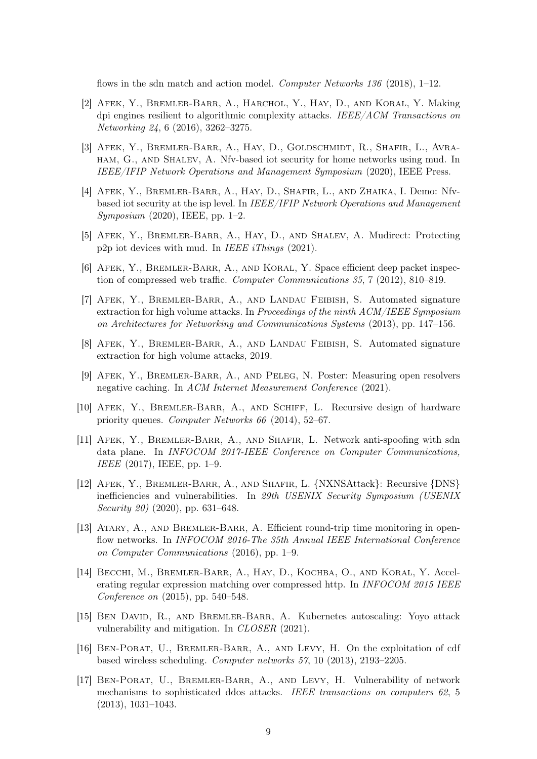flows in the sdn match and action model. Computer Networks 136 (2018), 1-12.

- <span id="page-8-2"></span>[2] Afek, Y., Bremler-Barr, A., Harchol, Y., Hay, D., and Koral, Y. Making dpi engines resilient to algorithmic complexity attacks. IEEE/ACM Transactions on Networking 24, 6 (2016), 3262–3275.
- <span id="page-8-13"></span>[3] Afek, Y., Bremler-Barr, A., Hay, D., Goldschmidt, R., Shafir, L., Avraham, G., and Shalev, A. Nfv-based iot security for home networks using mud. In IEEE/IFIP Network Operations and Management Symposium (2020), IEEE Press.
- <span id="page-8-14"></span>[4] AFEK, Y., BREMLER-BARR, A., HAY, D., SHAFIR, L., AND ZHAIKA, I. Demo: Nfvbased iot security at the isp level. In IEEE/IFIP Network Operations and Management Symposium (2020), IEEE, pp. 1–2.
- <span id="page-8-15"></span>[5] Afek, Y., Bremler-Barr, A., Hay, D., and Shalev, A. Mudirect: Protecting p2p iot devices with mud. In IEEE iThings  $(2021)$ .
- <span id="page-8-0"></span>[6] Afek, Y., Bremler-Barr, A., and Koral, Y. Space efficient deep packet inspection of compressed web traffic. Computer Communications 35, 7 (2012), 810–819.
- <span id="page-8-3"></span>[7] Afek, Y., Bremler-Barr, A., and Landau Feibish, S. Automated signature extraction for high volume attacks. In Proceedings of the ninth ACM/IEEE Symposium on Architectures for Networking and Communications Systems (2013), pp. 147–156.
- <span id="page-8-4"></span>[8] Afek, Y., Bremler-Barr, A., and Landau Feibish, S. Automated signature extraction for high volume attacks, 2019.
- <span id="page-8-11"></span>[9] Afek, Y., Bremler-Barr, A., and Peleg, N. Poster: Measuring open resolvers negative caching. In ACM Internet Measurement Conference (2021).
- <span id="page-8-7"></span>[10] AFEK, Y., BREMLER-BARR, A., AND SCHIFF, L. Recursive design of hardware priority queues. Computer Networks 66 (2014), 52–67.
- <span id="page-8-6"></span>[11] Afek, Y., Bremler-Barr, A., and Shafir, L. Network anti-spoofing with sdn data plane. In INFOCOM 2017-IEEE Conference on Computer Communications, IEEE (2017), IEEE, pp. 1–9.
- <span id="page-8-12"></span>[12] Afek, Y., Bremler-Barr, A., and Shafir, L. {NXNSAttack}: Recursive {DNS} inefficiencies and vulnerabilities. In 29th USENIX Security Symposium (USENIX Security 20) (2020), pp. 631–648.
- <span id="page-8-5"></span>[13] Atary, A., and Bremler-Barr, A. Efficient round-trip time monitoring in openflow networks. In INFOCOM 2016-The 35th Annual IEEE International Conference on Computer Communications (2016), pp. 1–9.
- <span id="page-8-1"></span>[14] Becchi, M., Bremler-Barr, A., Hay, D., Kochba, O., and Koral, Y. Accelerating regular expression matching over compressed http. In INFOCOM 2015 IEEE Conference on (2015), pp. 540–548.
- <span id="page-8-10"></span>[15] Ben David, R., and Bremler-Barr, A. Kubernetes autoscaling: Yoyo attack vulnerability and mitigation. In CLOSER (2021).
- <span id="page-8-9"></span>[16] Ben-Porat, U., Bremler-Barr, A., and Levy, H. On the exploitation of cdf based wireless scheduling. Computer networks 57, 10 (2013), 2193–2205.
- <span id="page-8-8"></span>[17] Ben-Porat, U., Bremler-Barr, A., and Levy, H. Vulnerability of network mechanisms to sophisticated ddos attacks. IEEE transactions on computers 62, 5 (2013), 1031–1043.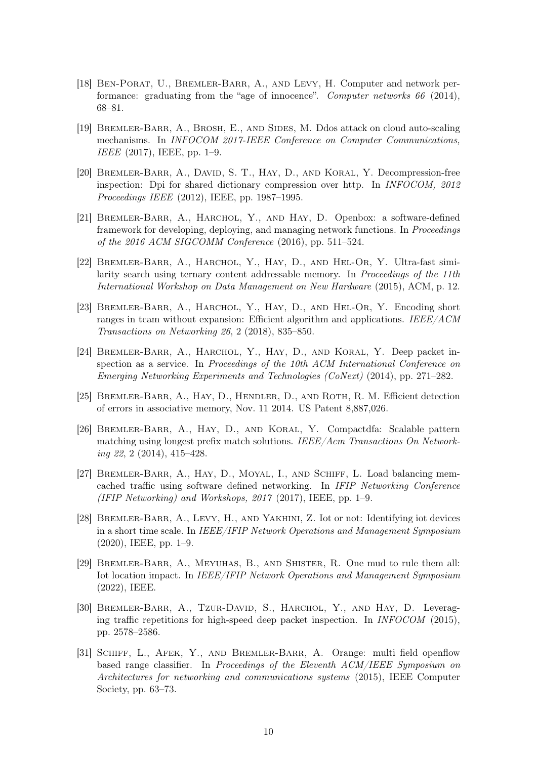- <span id="page-9-10"></span>[18] BEN-PORAT, U., BREMLER-BARR, A., AND LEVY, H. Computer and network performance: graduating from the "age of innocence". Computer networks 66 (2014), 68–81.
- <span id="page-9-11"></span>[19] BREMLER-BARR, A., BROSH, E., AND SIDES, M. Ddos attack on cloud auto-scaling mechanisms. In INFOCOM 2017-IEEE Conference on Computer Communications, IEEE (2017), IEEE, pp. 1–9.
- <span id="page-9-4"></span>[20] BREMLER-BARR, A., DAVID, S. T., HAY, D., AND KORAL, Y. Decompression-free inspection: Dpi for shared dictionary compression over http. In INFOCOM, 2012 Proceedings IEEE (2012), IEEE, pp. 1987–1995.
- <span id="page-9-5"></span>[21] Bremler-Barr, A., Harchol, Y., and Hay, D. Openbox: a software-defined framework for developing, deploying, and managing network functions. In Proceedings of the 2016 ACM SIGCOMM Conference (2016), pp. 511–524.
- <span id="page-9-9"></span>[22] Bremler-Barr, A., Harchol, Y., Hay, D., and Hel-Or, Y. Ultra-fast similarity search using ternary content addressable memory. In *Proceedings of the 11th* International Workshop on Data Management on New Hardware (2015), ACM, p. 12.
- <span id="page-9-8"></span>[23] BREMLER-BARR, A., HARCHOL, Y., HAY, D., AND HEL-OR, Y. Encoding short ranges in tcam without expansion: Efficient algorithm and applications. IEEE/ACM Transactions on Networking 26, 2 (2018), 835–850.
- <span id="page-9-1"></span>[24] Bremler-Barr, A., Harchol, Y., Hay, D., and Koral, Y. Deep packet inspection as a service. In Proceedings of the 10th ACM International Conference on Emerging Networking Experiments and Technologies (CoNext) (2014), pp. 271–282.
- <span id="page-9-3"></span>[25] Bremler-Barr, A., Hay, D., Hendler, D., and Roth, R. M. Efficient detection of errors in associative memory, Nov. 11 2014. US Patent 8,887,026.
- <span id="page-9-0"></span>[26] Bremler-Barr, A., Hay, D., and Koral, Y. Compactdfa: Scalable pattern matching using longest prefix match solutions. IEEE/Acm Transactions On Networking 22, 2 (2014), 415–428.
- <span id="page-9-6"></span>[27] Bremler-Barr, A., Hay, D., Moyal, I., and Schiff, L. Load balancing memcached traffic using software defined networking. In IFIP Networking Conference (IFIP Networking) and Workshops, 2017 (2017), IEEE, pp. 1–9.
- <span id="page-9-12"></span>[28] Bremler-Barr, A., Levy, H., and Yakhini, Z. Iot or not: Identifying iot devices in a short time scale. In IEEE/IFIP Network Operations and Management Symposium (2020), IEEE, pp. 1–9.
- <span id="page-9-13"></span>[29] Bremler-Barr, A., Meyuhas, B., and Shister, R. One mud to rule them all: Iot location impact. In IEEE/IFIP Network Operations and Management Symposium (2022), IEEE.
- <span id="page-9-2"></span>[30] BREMLER-BARR, A., TZUR-DAVID, S., HARCHOL, Y., AND HAY, D. Leveraging traffic repetitions for high-speed deep packet inspection. In INFOCOM (2015), pp. 2578–2586.
- <span id="page-9-7"></span>[31] Schiff, L., Afek, Y., and Bremler-Barr, A. Orange: multi field openflow based range classifier. In Proceedings of the Eleventh ACM/IEEE Symposium on Architectures for networking and communications systems (2015), IEEE Computer Society, pp. 63–73.